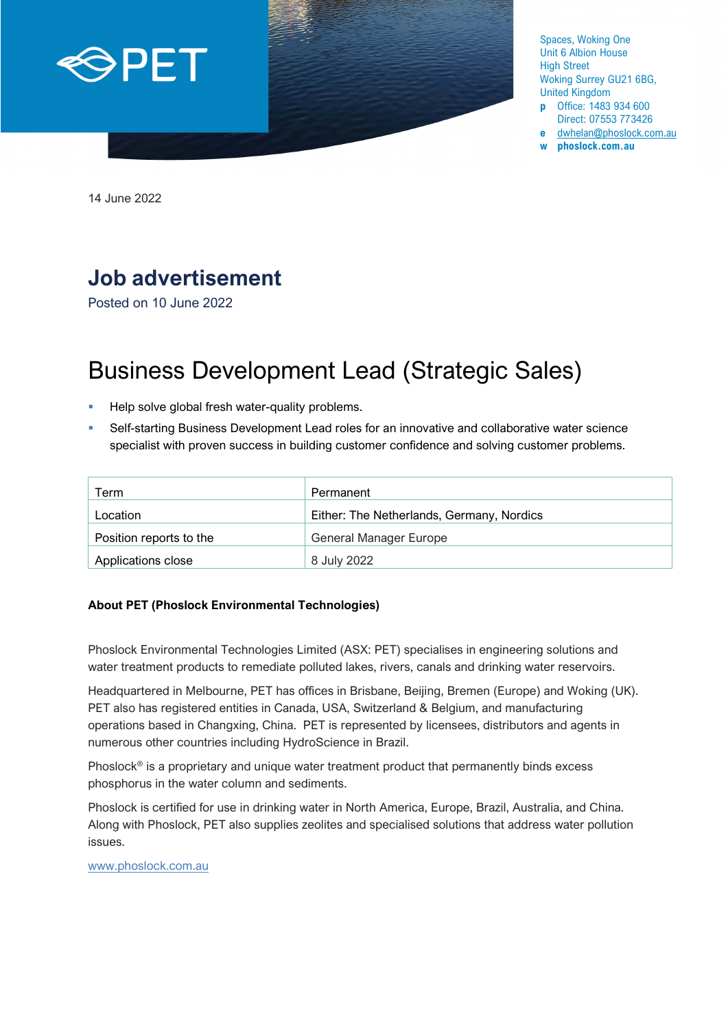

Spaces, Woking One Unit 6 Albion House High Street Woking Surrey GU21 6BG, United Kingdom

- **p** Office: 1483 934 600 Direct: 07553 773426
- **e** [dwhelan@phoslock.com.au](mailto:dwhelan@phoslock.com.au)
- **w phoslock.com.au**

14 June 2022

## **Job advertisement**

Posted on 10 June 2022

# Business Development Lead (Strategic Sales)

- Help solve global fresh water-quality problems.
- Self-starting Business Development Lead roles for an innovative and collaborative water science specialist with proven success in building customer confidence and solving customer problems.

| Term                    | Permanent                                 |
|-------------------------|-------------------------------------------|
| Location                | Either: The Netherlands, Germany, Nordics |
| Position reports to the | General Manager Europe                    |
| Applications close      | 8 July 2022                               |

#### **About PET (Phoslock Environmental Technologies)**

Phoslock Environmental Technologies Limited (ASX: PET) specialises in engineering solutions and water treatment products to remediate polluted lakes, rivers, canals and drinking water reservoirs.

Headquartered in Melbourne, PET has offices in Brisbane, Beijing, Bremen (Europe) and Woking (UK). PET also has registered entities in Canada, USA, Switzerland & Belgium, and manufacturing operations based in Changxing, China. PET is represented by licensees, distributors and agents in numerous other countries including HydroScience in Brazil.

Phoslock<sup>®</sup> is a proprietary and unique water treatment product that permanently binds excess phosphorus in the water column and sediments.

Phoslock is certified for use in drinking water in North America, Europe, Brazil, Australia, and China. Along with Phoslock, PET also supplies zeolites and specialised solutions that address water pollution issues.

[www.phoslock.com.au](http://www.phoslock.com.au/)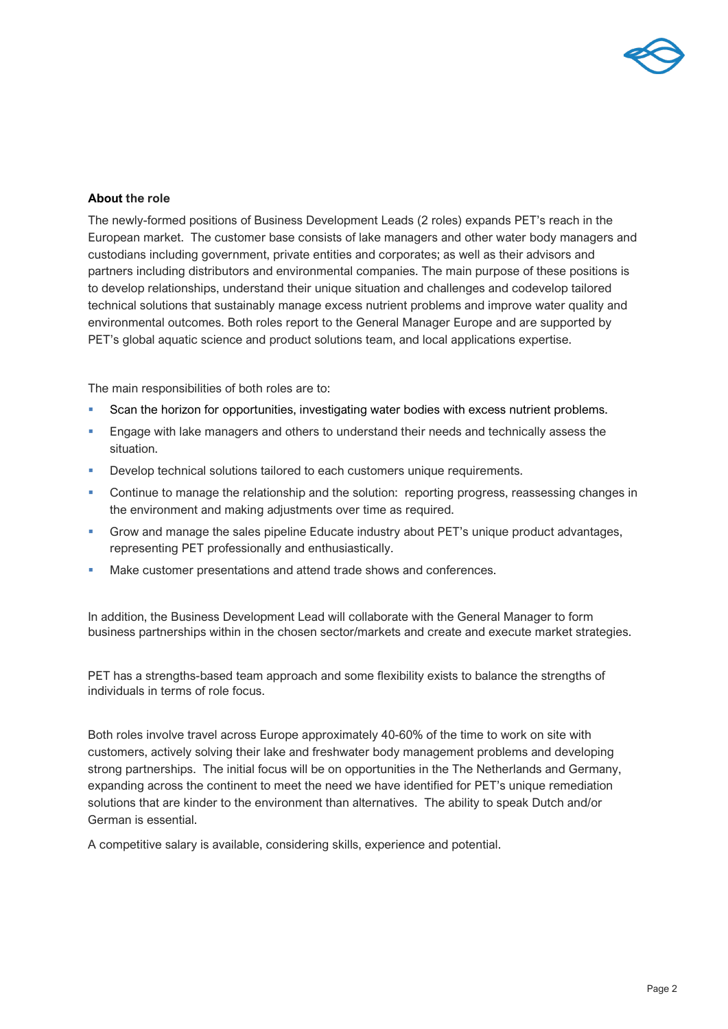

#### **About the role**

The newly-formed positions of Business Development Leads (2 roles) expands PET's reach in the European market. The customer base consists of lake managers and other water body managers and custodians including government, private entities and corporates; as well as their advisors and partners including distributors and environmental companies. The main purpose of these positions is to develop relationships, understand their unique situation and challenges and codevelop tailored technical solutions that sustainably manage excess nutrient problems and improve water quality and environmental outcomes. Both roles report to the General Manager Europe and are supported by PET's global aquatic science and product solutions team, and local applications expertise.

The main responsibilities of both roles are to:

- Scan the horizon for opportunities, investigating water bodies with excess nutrient problems.
- Engage with lake managers and others to understand their needs and technically assess the situation.
- Develop technical solutions tailored to each customers unique requirements.
- Continue to manage the relationship and the solution: reporting progress, reassessing changes in the environment and making adjustments over time as required.
- Grow and manage the sales pipeline Educate industry about PET's unique product advantages, representing PET professionally and enthusiastically.
- Make customer presentations and attend trade shows and conferences.

In addition, the Business Development Lead will collaborate with the General Manager to form business partnerships within in the chosen sector/markets and create and execute market strategies.

PET has a strengths-based team approach and some flexibility exists to balance the strengths of individuals in terms of role focus.

Both roles involve travel across Europe approximately 40-60% of the time to work on site with customers, actively solving their lake and freshwater body management problems and developing strong partnerships. The initial focus will be on opportunities in the The Netherlands and Germany, expanding across the continent to meet the need we have identified for PET's unique remediation solutions that are kinder to the environment than alternatives. The ability to speak Dutch and/or German is essential.

A competitive salary is available, considering skills, experience and potential.